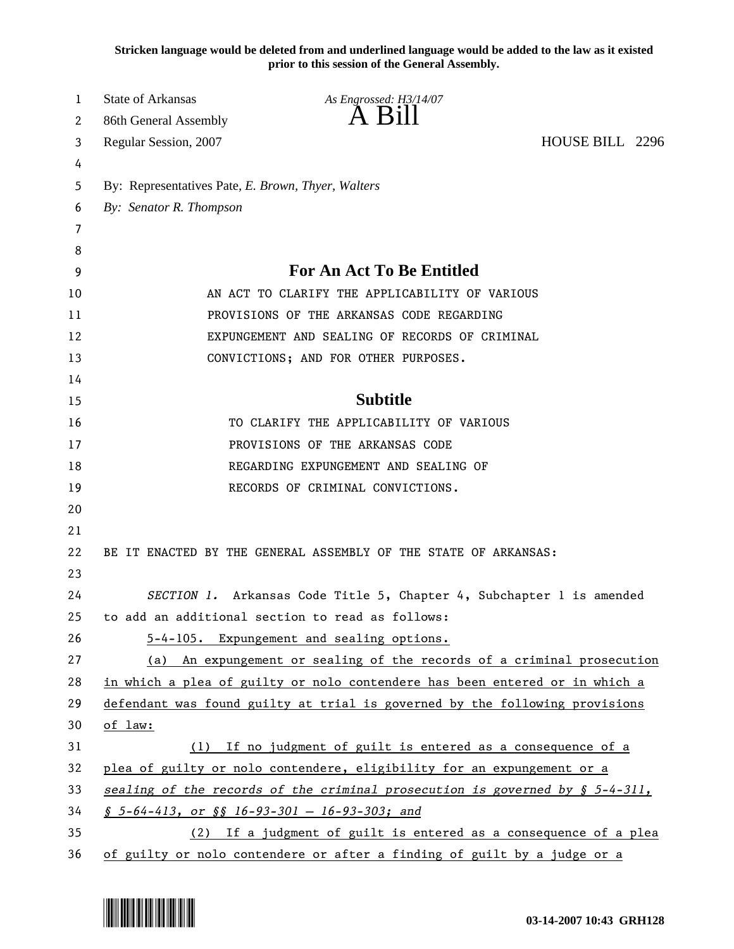**Stricken language would be deleted from and underlined language would be added to the law as it existed prior to this session of the General Assembly.**

| 1  | <b>State of Arkansas</b>                           | As Engrossed: H3/14/07                                                          |                 |
|----|----------------------------------------------------|---------------------------------------------------------------------------------|-----------------|
| 2  | 86th General Assembly                              | $A$ $B1II$                                                                      |                 |
| 3  | Regular Session, 2007                              |                                                                                 | HOUSE BILL 2296 |
| 4  |                                                    |                                                                                 |                 |
| 5  | By: Representatives Pate, E. Brown, Thyer, Walters |                                                                                 |                 |
| 6  | By: Senator R. Thompson                            |                                                                                 |                 |
| 7  |                                                    |                                                                                 |                 |
| 8  |                                                    |                                                                                 |                 |
| 9  |                                                    | For An Act To Be Entitled                                                       |                 |
| 10 |                                                    | AN ACT TO CLARIFY THE APPLICABILITY OF VARIOUS                                  |                 |
| 11 |                                                    | PROVISIONS OF THE ARKANSAS CODE REGARDING                                       |                 |
| 12 |                                                    | EXPUNGEMENT AND SEALING OF RECORDS OF CRIMINAL                                  |                 |
| 13 |                                                    | CONVICTIONS; AND FOR OTHER PURPOSES.                                            |                 |
| 14 |                                                    |                                                                                 |                 |
| 15 |                                                    | <b>Subtitle</b>                                                                 |                 |
| 16 |                                                    | TO CLARIFY THE APPLICABILITY OF VARIOUS                                         |                 |
| 17 |                                                    | PROVISIONS OF THE ARKANSAS CODE                                                 |                 |
| 18 |                                                    | REGARDING EXPUNGEMENT AND SEALING OF                                            |                 |
| 19 |                                                    | RECORDS OF CRIMINAL CONVICTIONS.                                                |                 |
| 20 |                                                    |                                                                                 |                 |
| 21 |                                                    |                                                                                 |                 |
| 22 |                                                    | BE IT ENACTED BY THE GENERAL ASSEMBLY OF THE STATE OF ARKANSAS:                 |                 |
| 23 |                                                    |                                                                                 |                 |
| 24 |                                                    | SECTION 1. Arkansas Code Title 5, Chapter 4, Subchapter 1 is amended            |                 |
| 25 |                                                    | to add an additional section to read as follows:                                |                 |
| 26 |                                                    | 5-4-105. Expungement and sealing options.                                       |                 |
| 27 |                                                    | (a) An expungement or sealing of the records of a criminal prosecution          |                 |
| 28 |                                                    | in which a plea of guilty or nolo contendere has been entered or in which a     |                 |
| 29 |                                                    | defendant was found guilty at trial is governed by the following provisions     |                 |
| 30 | of law:                                            |                                                                                 |                 |
| 31 | (1)                                                | If no judgment of guilt is entered as a consequence of a                        |                 |
| 32 |                                                    | plea of guilty or nolo contendere, eligibility for an expungement or a          |                 |
| 33 |                                                    | sealing of the records of the criminal prosecution is governed by $\S$ 5-4-311, |                 |
| 34 | $$5-64-413, or $$16-93-301 - 16-93-303; and$       |                                                                                 |                 |
| 35 |                                                    | (2) If a judgment of guilt is entered as a consequence of a plea                |                 |
| 36 |                                                    | of guilty or nolo contendere or after a finding of guilt by a judge or a        |                 |

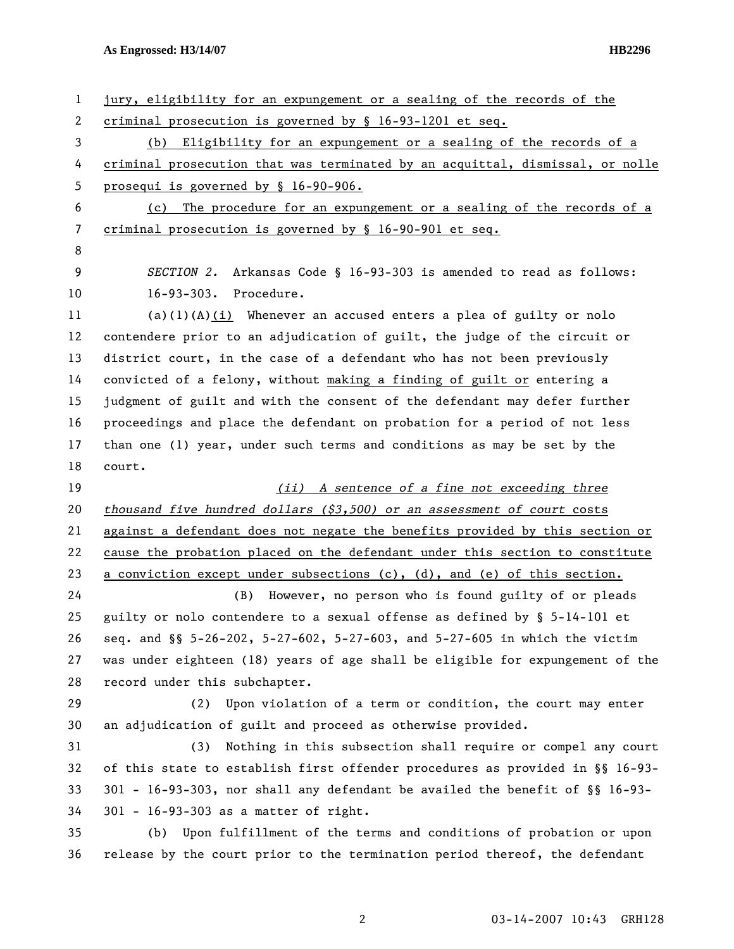**As Engrossed: H3/14/07 HB2296** 

| $\mathbf{1}$ | jury, eligibility for an expungement or a sealing of the records of the          |  |  |
|--------------|----------------------------------------------------------------------------------|--|--|
| 2            | criminal prosecution is governed by § 16-93-1201 et seq.                         |  |  |
| 3            | (b) Eligibility for an expungement or a sealing of the records of a              |  |  |
| 4            | criminal prosecution that was terminated by an acquittal, dismissal, or nolle    |  |  |
| 5            | prosequi is governed by § 16-90-906.                                             |  |  |
| 6            | (c) The procedure for an expungement or a sealing of the records of a            |  |  |
| 7            | criminal prosecution is governed by § 16-90-901 et seq.                          |  |  |
| 8            |                                                                                  |  |  |
| 9            | SECTION 2. Arkansas Code § 16-93-303 is amended to read as follows:              |  |  |
| 10           | 16-93-303. Procedure.                                                            |  |  |
| 11           | $(a)(1)(A)(i)$ Whenever an accused enters a plea of guilty or nolo               |  |  |
| 12           | contendere prior to an adjudication of guilt, the judge of the circuit or        |  |  |
| 13           | district court, in the case of a defendant who has not been previously           |  |  |
| 14           | convicted of a felony, without making a finding of guilt or entering a           |  |  |
| 15           | judgment of guilt and with the consent of the defendant may defer further        |  |  |
| 16           | proceedings and place the defendant on probation for a period of not less        |  |  |
| 17           | than one (1) year, under such terms and conditions as may be set by the          |  |  |
| 18           | court.                                                                           |  |  |
| 19           | (ii) A sentence of a fine not exceeding three                                    |  |  |
| 20           | thousand five hundred dollars $(33,500)$ or an assessment of court costs         |  |  |
| 21           | against a defendant does not negate the benefits provided by this section or     |  |  |
| 22           | cause the probation placed on the defendant under this section to constitute     |  |  |
| 23           | a conviction except under subsections $(c)$ , $(d)$ , and $(e)$ of this section. |  |  |
| 24           | However, no person who is found guilty of or pleads<br>(B)                       |  |  |
| 25           | guilty or nolo contendere to a sexual offense as defined by § 5-14-101 et        |  |  |
| 26           | seq. and §§ 5-26-202, 5-27-602, 5-27-603, and 5-27-605 in which the victim       |  |  |
| 27           |                                                                                  |  |  |
| 28           | was under eighteen (18) years of age shall be eligible for expungement of the    |  |  |
|              | record under this subchapter.                                                    |  |  |
| 29           | (2) Upon violation of a term or condition, the court may enter                   |  |  |
| 30           | an adjudication of guilt and proceed as otherwise provided.                      |  |  |
| 31           | Nothing in this subsection shall require or compel any court<br>(3)              |  |  |
| 32           | of this state to establish first offender procedures as provided in §§ 16-93-    |  |  |
| 33           | 301 - 16-93-303, nor shall any defendant be availed the benefit of §§ 16-93-     |  |  |
| 34           | 301 - 16-93-303 as a matter of right.                                            |  |  |
| 35           | (b) Upon fulfillment of the terms and conditions of probation or upon            |  |  |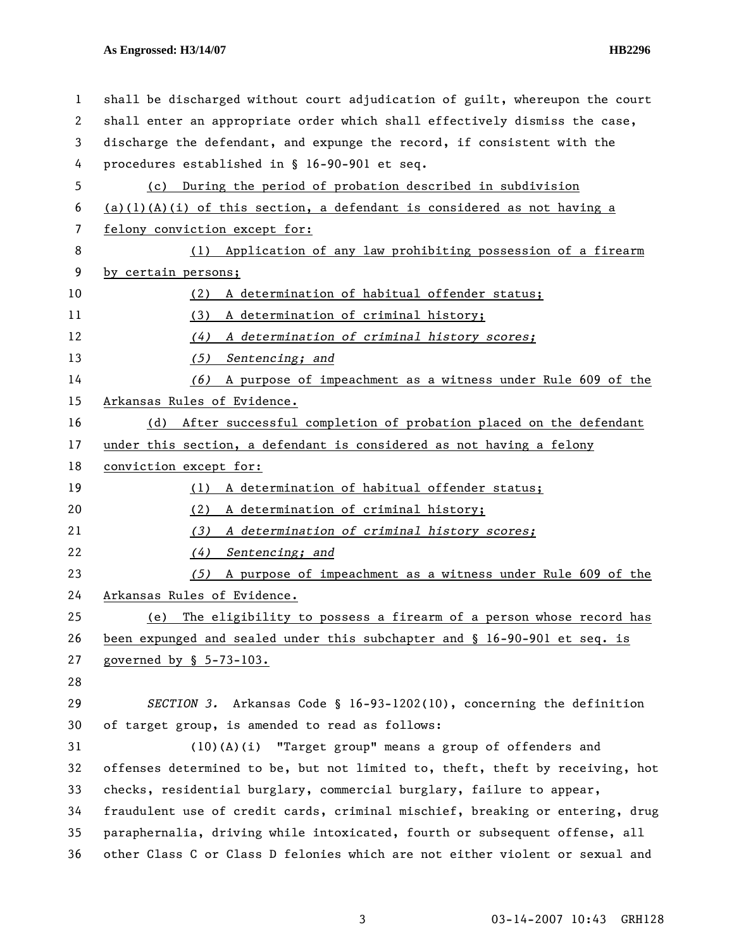## **As Engrossed: H3/14/07 HB2296**

| 1  | shall be discharged without court adjudication of guilt, whereupon the court  |  |  |
|----|-------------------------------------------------------------------------------|--|--|
| 2  | shall enter an appropriate order which shall effectively dismiss the case,    |  |  |
| 3  | discharge the defendant, and expunge the record, if consistent with the       |  |  |
| 4  | procedures established in § 16-90-901 et seq.                                 |  |  |
| 5  | (c) During the period of probation described in subdivision                   |  |  |
| 6  | $(a)(1)(A)(i)$ of this section, a defendant is considered as not having a     |  |  |
| 7  | felony conviction except for:                                                 |  |  |
| 8  | (1) Application of any law prohibiting possession of a firearm                |  |  |
| 9  | by certain persons;                                                           |  |  |
| 10 | A determination of habitual offender status;<br>(2)                           |  |  |
| 11 | (3) A determination of criminal history;                                      |  |  |
| 12 | (4)<br>A determination of criminal history scores;                            |  |  |
| 13 | (5)<br>Sentencing; and                                                        |  |  |
| 14 | A purpose of impeachment as a witness under Rule 609 of the<br>(6)            |  |  |
| 15 | Arkansas Rules of Evidence.                                                   |  |  |
| 16 | After successful completion of probation placed on the defendant<br>(d)       |  |  |
| 17 | under this section, a defendant is considered as not having a felony          |  |  |
| 18 | conviction except for:                                                        |  |  |
| 19 | (1) A determination of habitual offender status;                              |  |  |
| 20 | (2)<br>A determination of criminal history;                                   |  |  |
| 21 | (3)<br>A determination of criminal history scores;                            |  |  |
| 22 | Sentencing; and<br>(4)                                                        |  |  |
| 23 | A purpose of impeachment as a witness under Rule 609 of the<br>(5)            |  |  |
| 24 | Arkansas Rules of Evidence.                                                   |  |  |
| 25 | The eligibility to possess a firearm of a person whose record has<br>(e)      |  |  |
| 26 | been expunged and sealed under this subchapter and § 16-90-901 et seq. is     |  |  |
| 27 | governed by § 5-73-103.                                                       |  |  |
| 28 |                                                                               |  |  |
| 29 | SECTION 3. Arkansas Code § 16-93-1202(10), concerning the definition          |  |  |
| 30 | of target group, is amended to read as follows:                               |  |  |
| 31 | (10)(A)(i) "Target group" means a group of offenders and                      |  |  |
| 32 | offenses determined to be, but not limited to, theft, theft by receiving, hot |  |  |
| 33 | checks, residential burglary, commercial burglary, failure to appear,         |  |  |
| 34 | fraudulent use of credit cards, criminal mischief, breaking or entering, drug |  |  |
| 35 | paraphernalia, driving while intoxicated, fourth or subsequent offense, all   |  |  |
| 36 | other Class C or Class D felonies which are not either violent or sexual and  |  |  |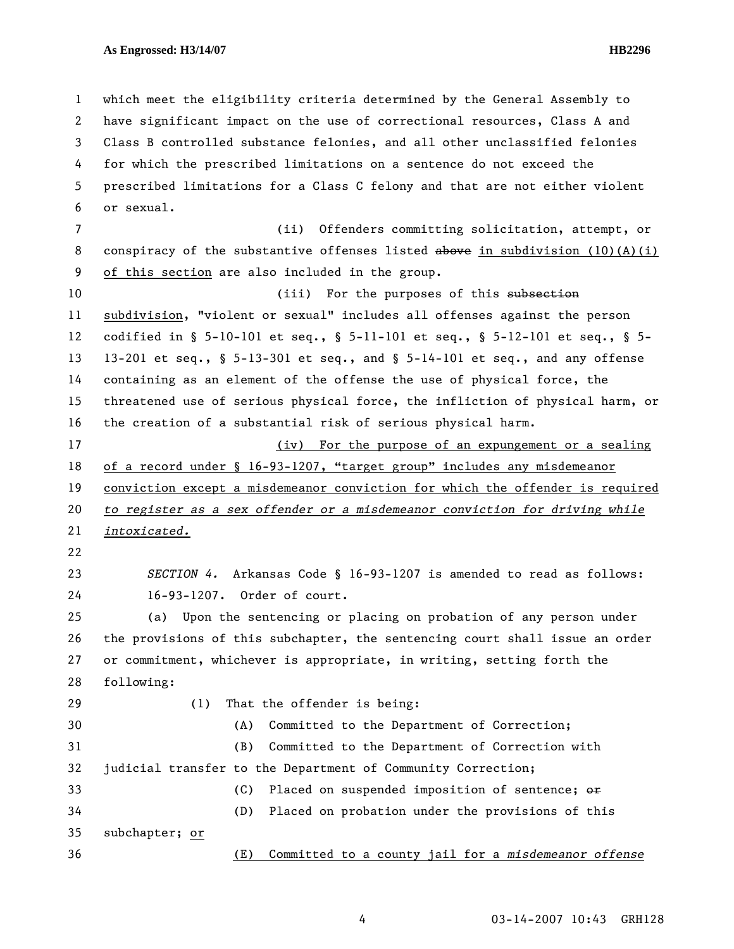1 which meet the eligibility criteria determined by the General Assembly to 2 have significant impact on the use of correctional resources, Class A and 3 Class B controlled substance felonies, and all other unclassified felonies 4 for which the prescribed limitations on a sentence do not exceed the 5 prescribed limitations for a Class C felony and that are not either violent 6 or sexual. 7 (ii) Offenders committing solicitation, attempt, or 8 conspiracy of the substantive offenses listed above in subdivision (10)(A)(i) 9 of this section are also included in the group. 10 (iii) For the purposes of this subsection 11 subdivision, "violent or sexual" includes all offenses against the person 12 codified in § 5-10-101 et seq., § 5-11-101 et seq., § 5-12-101 et seq., § 5- 13 13-201 et seq., § 5-13-301 et seq., and § 5-14-101 et seq., and any offense 14 containing as an element of the offense the use of physical force, the 15 threatened use of serious physical force, the infliction of physical harm, or 16 the creation of a substantial risk of serious physical harm. 17 (iv) For the purpose of an expungement or a sealing 18 of a record under § 16-93-1207, "target group" includes any misdemeanor 19 conviction except a misdemeanor conviction for which the offender is required 20 *to register as a sex offender or a misdemeanor conviction for driving while*  21 *intoxicated.* 22 23 *SECTION 4.* Arkansas Code § 16-93-1207 is amended to read as follows: 24 16-93-1207. Order of court. 25 (a) Upon the sentencing or placing on probation of any person under 26 the provisions of this subchapter, the sentencing court shall issue an order 27 or commitment, whichever is appropriate, in writing, setting forth the 28 following: 29 (1) That the offender is being: 30 (A) Committed to the Department of Correction; 31 (B) Committed to the Department of Correction with 32 judicial transfer to the Department of Community Correction; 33 (C) Placed on suspended imposition of sentence;  $\Theta$ 34 (D) Placed on probation under the provisions of this 35 subchapter; or 36 (E) Committed to a county jail for a *misdemeanor offense* 

4 03-14-2007 10:43 GRH128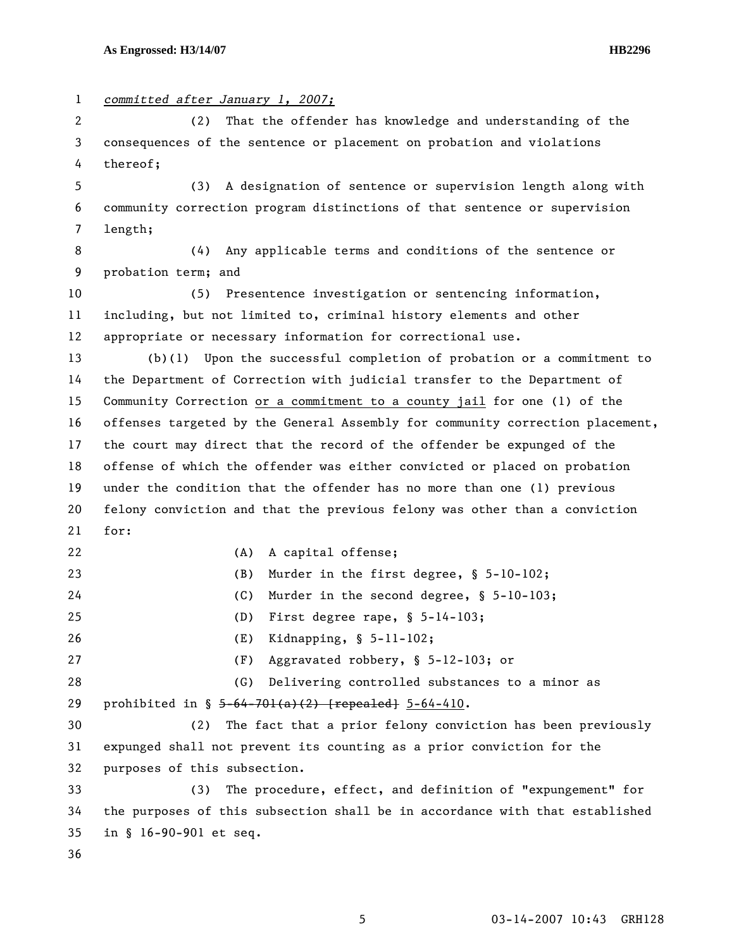| $\mathbf{1}$ | committed after January 1, 2007;                                              |  |  |
|--------------|-------------------------------------------------------------------------------|--|--|
| 2            | That the offender has knowledge and understanding of the<br>(2)               |  |  |
| 3            | consequences of the sentence or placement on probation and violations         |  |  |
| 4            | thereof;                                                                      |  |  |
| 5            | (3) A designation of sentence or supervision length along with                |  |  |
| 6            | community correction program distinctions of that sentence or supervision     |  |  |
| 7            | length;                                                                       |  |  |
| 8            | (4) Any applicable terms and conditions of the sentence or                    |  |  |
| 9            | probation term; and                                                           |  |  |
| 10           | (5) Presentence investigation or sentencing information,                      |  |  |
| 11           | including, but not limited to, criminal history elements and other            |  |  |
| 12           | appropriate or necessary information for correctional use.                    |  |  |
| 13           | $(b)(1)$ Upon the successful completion of probation or a commitment to       |  |  |
| 14           | the Department of Correction with judicial transfer to the Department of      |  |  |
| 15           | Community Correction or a commitment to a county jail for one (1) of the      |  |  |
| 16           | offenses targeted by the General Assembly for community correction placement, |  |  |
| 17           | the court may direct that the record of the offender be expunged of the       |  |  |
| 18           | offense of which the offender was either convicted or placed on probation     |  |  |
| 19           | under the condition that the offender has no more than one (1) previous       |  |  |
| 20           | felony conviction and that the previous felony was other than a conviction    |  |  |
| 21           | for:                                                                          |  |  |
| 22           | (A)<br>A capital offense;                                                     |  |  |
| 23           | (B)<br>Murder in the first degree, § 5-10-102;                                |  |  |
| 24           | Murder in the second degree, § 5-10-103;<br>(C)                               |  |  |
| 25           | First degree rape, $$ 5-14-103;$<br>(D)                                       |  |  |
| 26           | Kidnapping, $$ 5-11-102;$<br>(E)                                              |  |  |
| 27           | Aggravated robbery, § 5-12-103; or<br>(F)                                     |  |  |
| 28           | Delivering controlled substances to a minor as<br>(G)                         |  |  |
| 29           | prohibited in $\S$ 5-64-701(a)(2) [repealed] 5-64-410.                        |  |  |
| 30           | The fact that a prior felony conviction has been previously<br>(2)            |  |  |
| 31           | expunged shall not prevent its counting as a prior conviction for the         |  |  |
| 32           | purposes of this subsection.                                                  |  |  |
| 33           | The procedure, effect, and definition of "expungement" for<br>(3)             |  |  |
| 34           | the purposes of this subsection shall be in accordance with that established  |  |  |
| 35           | in § 16-90-901 et seq.                                                        |  |  |
| 36           |                                                                               |  |  |